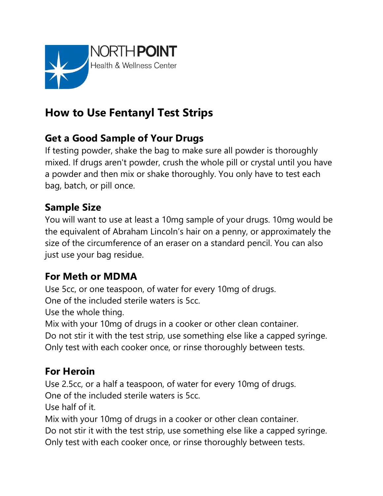

# **How to Use Fentanyl Test Strips**

## **Get a Good Sample of Your Drugs**

If testing powder, shake the bag to make sure all powder is thoroughly mixed. If drugs aren't powder, crush the whole pill or crystal until you have a powder and then mix or shake thoroughly. You only have to test each bag, batch, or pill once.

#### **Sample Size**

You will want to use at least a 10mg sample of your drugs. 10mg would be the equivalent of Abraham Lincoln's hair on a penny, or approximately the size of the circumference of an eraser on a standard pencil. You can also just use your bag residue.

#### **For Meth or MDMA**

Use 5cc, or one teaspoon, of water for every 10mg of drugs.

One of the included sterile waters is 5cc.

Use the whole thing.

Mix with your 10mg of drugs in a cooker or other clean container.

Do not stir it with the test strip, use something else like a capped syringe.

Only test with each cooker once, or rinse thoroughly between tests.

#### **For Heroin**

Use 2.5cc, or a half a teaspoon, of water for every 10mg of drugs.

One of the included sterile waters is 5cc.

Use half of it.

Mix with your 10mg of drugs in a cooker or other clean container.

Do not stir it with the test strip, use something else like a capped syringe.

Only test with each cooker once, or rinse thoroughly between tests.